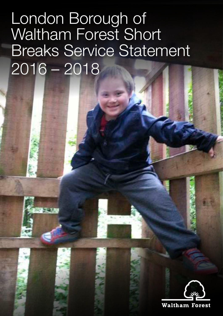# London Borough of Waltham Forest Short Breaks Service Statement 2016 – 2018

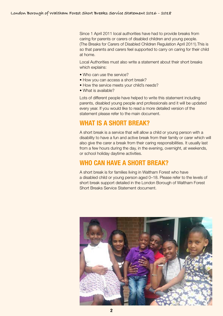Since 1 April 2011 local authorities have had to provide breaks from caring for parents or carers of disabled children and young people. (The Breaks for Carers of Disabled Children Regulation April 2011).This is so that parents and carers feel supported to carry on caring for their child at home.

Local Authorities must also write a statement about their short breaks which explains:

- Who can use the service?
- How you can access a short break?
- How the service meets your child's needs?
- What is available?

Lots of different people have helped to write this statement including parents, disabled young people and professionals and it will be updated every year. If you would like to read a more detailed version of the statement please refer to the main document.

## **WHAT IS A SHORT BREAK?**

A short break is a service that will allow a child or young person with a disability to have a fun and active break from their family or carer which will also give the carer a break from their caring responsibilities. It usually last from a few hours during the day, in the evening, overnight, at weekends, or school holiday daytime activities.

## **WHO CAN HAVE A SHORT BREAK?**

A short break is for families living in Waltham Forest who have a disabled child or young person aged 0–18. Please refer to the levels of short break support detailed in the London Borough of Waltham Forest Short Breaks Service Statement document.

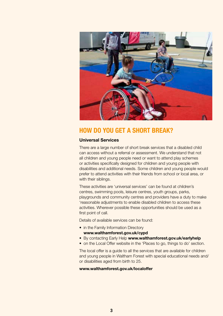

### **HOW DO YOU GET A SHORT BREAK?**

#### **Universal Services**

There are a large number of short break services that a disabled child can access without a referral or assessment. We understand that not all children and young people need or want to attend play schemes or activities specifically designed for children and young people with disabilities and additional needs. Some children and young people would prefer to attend activities with their friends from school or local area, or with their siblings.

These activities are 'universal services' can be found at children's centres, swimming pools, leisure centres, youth groups, parks, playgrounds and community centres and providers have a duty to make 'reasonable adjustments to enable disabled children to access these activities. Wherever possible these opportunities should be used as a first point of call.

Details of available services can be found:

- in the Family Information Directory **www.walthamforest.gov.uk/cypd**
- By contacting Early Help **www.walthamforest.gov.uk/earlyhelp**
- on the Local Offer website in the 'Places to go, things to do' section.

The local offer is a guide to all the services that are available for children and young people in Waltham Forest with special educational needs and/ or disabilities aged from birth to 25.

#### **www.walthamforest.gov.uk/localoffer**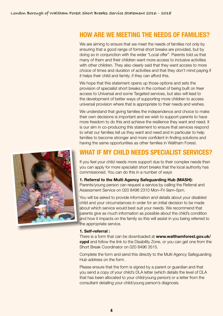# **HOW ARE WE MEETING THE NEEDS OF FAMILIES?**

We are aiming to ensure that we meet the needs of families not only by ensuring that a good range of formal short breaks are provided, but by doing so in conjunction with the wider "Local offer". Parents told us that many of them and their children want more access to inclusive activities with other children. They also clearly said that they want access to more choice of times and duration of activities and that they don't mind paying if it helps their child and family; if they can afford this.

We hope that this statement opens up those options and sets the provision of specialist short breaks in the context of being built on freer access to Universal and some Targeted services, but also will lead to the development of better ways of supporting more children to access universal provision where that is appropriate to their needs and wishes.

We understand that giving families the independence and choice to make their own decisions is important and we wish to support parents to have more freedom to do this and achieve the resilience they want and need. It is our aim in co-producing this statement to ensure that services respond to what our families tell us they want and need and in particular to help families to become stronger and more confident in finding solutions and having the same opportunities as other families in Waltham Forest.

## **WHAT IF MY CHILD NEEDS SPECIALIST SERVICES?**

If you feel your child needs more support due to their complex needs then you can apply for more specialist short breaks that the local authority has commissioned. You can do this in a number of ways

#### **1. Referral to the Multi Agency Safeguarding Hub (MASH):**

Parents/young person can request a service by calling the Referral and Assessment Service on 020 8496 2310 Mon–Fri 9am–5pm.

You will be asked to provide information and details about your disabled child and your circumstances in order for an initial decision to be made about which service would best suit your needs. We recommend that parents give as much information as possible about the child's condition and how it impacts on the family so this will assist in you being referred to the appropriate service.

#### **1. Self-referral :**

There is a form that can be downloaded at **[www.walthamforest.gov.uk/](http://www.walthamforest.gov.uk/cypd) [cypd](http://www.walthamforest.gov.uk/cypd)** and follow the link to the Disability Zone, or you can get one from the Short Break Coordinator on 020 8496 3515.

Complete the form and send this directly to the Multi Agency Safeguarding Hub address on the form.

Please ensure that the form is signed by a parent or guardian and that you send a copy of your child's DLA letter (which details the level of DLA that has been allocated to your child/young person) or a letter from the consultant detailing your child/young person's diagnosis.

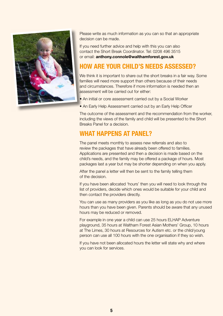

Please write as much information as you can so that an appropriate decision can be made.

If you need further advice and help with this you can also contact the Short Break Coordinator. Tel: 0208 496 3515 or email: **anthony.connole@walthamforest.gov.uk**

# **HOW ARE YOUR CHILD'S NEEDS ASSESSED?**

We think it is important to share out the short breaks in a fair way. Some families will need more support than others because of their needs and circumstances. Therefore if more information is needed then an assessment will be carried out for either:

- An initial or core assessment carried out by a Social Worker
- An Early Help Assessment carried out by an Early Help Officer

The outcome of the assessment and the recommendation from the worker, including the views of the family and child will be presented to the Short Breaks Panel for a decision.

## **WHAT HAPPENS AT PANEL?**

The panel meets monthly to assess new referrals and also to review the packages that have already been offered to families. Applications are presented and then a decision is made based on the child's needs, and the family may be offered a package of hours. Most packages last a year but may be shorter depending on when you apply.

After the panel a letter will then be sent to the family telling them of the decision.

If you have been allocated 'hours' then you will need to look through the list of providers, decide which ones would be suitable for your child and then contact the providers directly.

You can use as many providers as you like as long as you do not use more hours than you have been given. Parents should be aware that any unused hours may be reduced or removed.

For example in one year a child can use 25 hours ELHAP Adventure playground, 35 hours at Waltham Forest Asian Mothers' Group, 10 hours at The Limes, 30 hours at Resources for Autism etc. or the child/young person can use all 100 hours with the one organisation if they so wish.

If you have not been allocated hours the letter will state why and where you can look for services.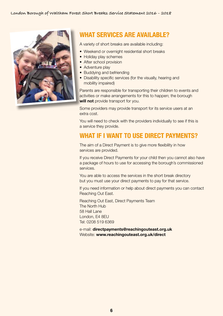

# **WHAT SERVICES ARE AVAILABLE?**

A variety of short breaks are available including:

- Weekend or overnight residential short breaks
- Holiday play schemes
- After school provision
- Adventure play
- Buddying and befriending
- Disability specific services (for the visually, hearing and mobility impaired)

Parents are responsible for transporting their children to events and activities or make arrangements for this to happen; the borough **will not** provide transport for you.

Some providers may provide transport for its service users at an extra cost.

You will need to check with the providers individually to see if this is a service they provide.

# **WHAT IF I WANT TO USE DIRECT PAYMENTS?**

The aim of a Direct Payment is to give more flexibility in how services are provided.

If you receive Direct Payments for your child then you cannot also have a package of hours to use for accessing the borough's commissioned services.

You are able to access the services in the short break directory but you must use your direct payments to pay for that service.

If you need information or help about direct payments you can contact Reaching Out East.

Reaching Out East, Direct Payments Team The North Hub 58 Hall Lane London, E4 8EU Tel: 0208 519 6369

e-mail: **directpayments@reachingouteast.org.uk** Website: **www.reachingouteast.org.uk/direct**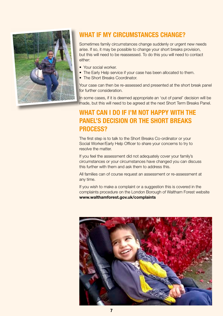

# **WHAT IF MY CIRCUMSTANCES CHANGE?**

Sometimes family circumstances change suddenly or urgent new needs arise. If so, it may be possible to change your short breaks provision, but this will need to be reassessed. To do this you will need to contact either:

- Your social worker.
- The Early Help service if your case has been allocated to them.
- The Short Breaks Coordinator.

Your case can then be re-assessed and presented at the short break panel for further consideration.

In some cases, if it is deemed appropriate an 'out of panel' decision will be made, but this will need to be agreed at the next Short Term Breaks Panel.

# **WHAT CAN I DO IF I'M NOT HAPPY WITH THE PANEL'S DECISION OR THE SHORT BREAKS PROCESS?**

The first step is to talk to the Short Breaks Co-ordinator or your Social Worker/Early Help Officer to share your concerns to try to resolve the matter.

If you feel the assessment did not adequately cover your family's circumstances or your circumstances have changed you can discuss this further with them and ask them to address this.

All families can of course request an assessment or re-assessment at any time.

If you wish to make a complaint or a suggestion this is covered in the complaints procedure on the London Borough of Waltham Forest website **www.walthamforest.gov.uk/complaints**